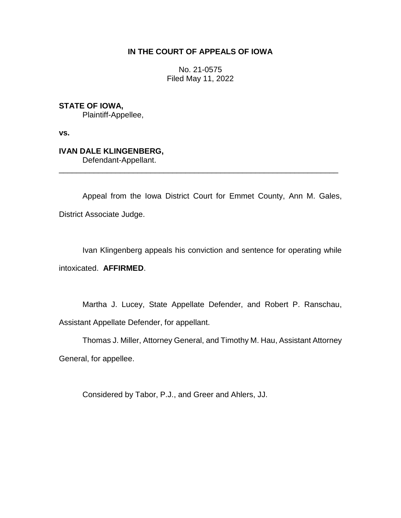# **IN THE COURT OF APPEALS OF IOWA**

No. 21-0575 Filed May 11, 2022

**STATE OF IOWA,**

Plaintiff-Appellee,

**vs.**

# **IVAN DALE KLINGENBERG,**

Defendant-Appellant.

Appeal from the Iowa District Court for Emmet County, Ann M. Gales, District Associate Judge.

\_\_\_\_\_\_\_\_\_\_\_\_\_\_\_\_\_\_\_\_\_\_\_\_\_\_\_\_\_\_\_\_\_\_\_\_\_\_\_\_\_\_\_\_\_\_\_\_\_\_\_\_\_\_\_\_\_\_\_\_\_\_\_\_

Ivan Klingenberg appeals his conviction and sentence for operating while intoxicated. **AFFIRMED**.

Martha J. Lucey, State Appellate Defender, and Robert P. Ranschau, Assistant Appellate Defender, for appellant.

Thomas J. Miller, Attorney General, and Timothy M. Hau, Assistant Attorney General, for appellee.

Considered by Tabor, P.J., and Greer and Ahlers, JJ.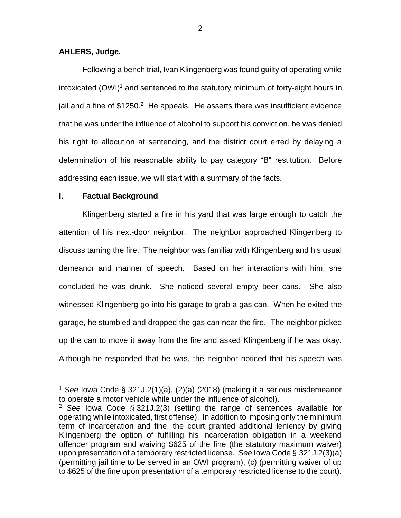## **AHLERS, Judge.**

Following a bench trial, Ivan Klingenberg was found guilty of operating while intoxicated  $(OWI)^1$  and sentenced to the statutory minimum of forty-eight hours in jail and a fine of \$1250.<sup>2</sup> He appeals. He asserts there was insufficient evidence that he was under the influence of alcohol to support his conviction, he was denied his right to allocution at sentencing, and the district court erred by delaying a determination of his reasonable ability to pay category "B" restitution. Before addressing each issue, we will start with a summary of the facts.

### **I. Factual Background**

 $\overline{a}$ 

Klingenberg started a fire in his yard that was large enough to catch the attention of his next-door neighbor. The neighbor approached Klingenberg to discuss taming the fire. The neighbor was familiar with Klingenberg and his usual demeanor and manner of speech. Based on her interactions with him, she concluded he was drunk. She noticed several empty beer cans. She also witnessed Klingenberg go into his garage to grab a gas can. When he exited the garage, he stumbled and dropped the gas can near the fire. The neighbor picked up the can to move it away from the fire and asked Klingenberg if he was okay. Although he responded that he was, the neighbor noticed that his speech was

<sup>1</sup> *See* Iowa Code § 321J.2(1)(a), (2)(a) (2018) (making it a serious misdemeanor to operate a motor vehicle while under the influence of alcohol).

<sup>2</sup> *See* Iowa Code § 321J.2(3) (setting the range of sentences available for operating while intoxicated, first offense). In addition to imposing only the minimum term of incarceration and fine, the court granted additional leniency by giving Klingenberg the option of fulfilling his incarceration obligation in a weekend offender program and waiving \$625 of the fine (the statutory maximum waiver) upon presentation of a temporary restricted license. *See* Iowa Code § 321J.2(3)(a) (permitting jail time to be served in an OWI program), (c) (permitting waiver of up to \$625 of the fine upon presentation of a temporary restricted license to the court).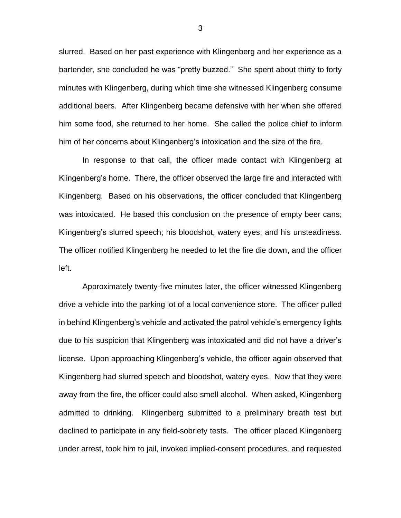slurred. Based on her past experience with Klingenberg and her experience as a bartender, she concluded he was "pretty buzzed." She spent about thirty to forty minutes with Klingenberg, during which time she witnessed Klingenberg consume additional beers. After Klingenberg became defensive with her when she offered him some food, she returned to her home. She called the police chief to inform him of her concerns about Klingenberg's intoxication and the size of the fire.

In response to that call, the officer made contact with Klingenberg at Klingenberg's home. There, the officer observed the large fire and interacted with Klingenberg. Based on his observations, the officer concluded that Klingenberg was intoxicated. He based this conclusion on the presence of empty beer cans; Klingenberg's slurred speech; his bloodshot, watery eyes; and his unsteadiness. The officer notified Klingenberg he needed to let the fire die down, and the officer left.

Approximately twenty-five minutes later, the officer witnessed Klingenberg drive a vehicle into the parking lot of a local convenience store. The officer pulled in behind Klingenberg's vehicle and activated the patrol vehicle's emergency lights due to his suspicion that Klingenberg was intoxicated and did not have a driver's license. Upon approaching Klingenberg's vehicle, the officer again observed that Klingenberg had slurred speech and bloodshot, watery eyes. Now that they were away from the fire, the officer could also smell alcohol. When asked, Klingenberg admitted to drinking. Klingenberg submitted to a preliminary breath test but declined to participate in any field-sobriety tests. The officer placed Klingenberg under arrest, took him to jail, invoked implied-consent procedures, and requested

3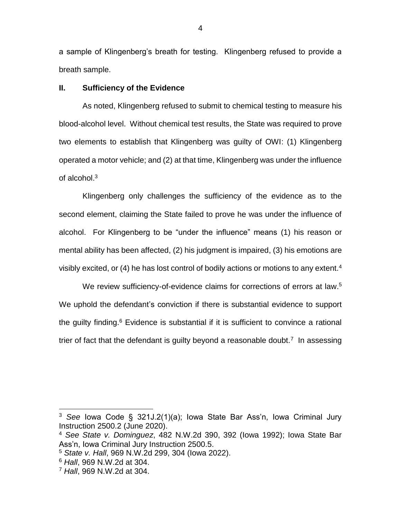a sample of Klingenberg's breath for testing. Klingenberg refused to provide a breath sample.

## **II. Sufficiency of the Evidence**

As noted, Klingenberg refused to submit to chemical testing to measure his blood-alcohol level. Without chemical test results, the State was required to prove two elements to establish that Klingenberg was guilty of OWI: (1) Klingenberg operated a motor vehicle; and (2) at that time, Klingenberg was under the influence of alcohol.<sup>3</sup>

Klingenberg only challenges the sufficiency of the evidence as to the second element, claiming the State failed to prove he was under the influence of alcohol. For Klingenberg to be "under the influence" means (1) his reason or mental ability has been affected, (2) his judgment is impaired, (3) his emotions are visibly excited, or (4) he has lost control of bodily actions or motions to any extent.<sup>4</sup>

We review sufficiency-of-evidence claims for corrections of errors at law.<sup>5</sup> We uphold the defendant's conviction if there is substantial evidence to support the quilty finding. $6$  Evidence is substantial if it is sufficient to convince a rational trier of fact that the defendant is guilty beyond a reasonable doubt.<sup>7</sup> In assessing

<sup>3</sup> *See* Iowa Code § 321J.2(1)(a); Iowa State Bar Ass'n, Iowa Criminal Jury Instruction 2500.2 (June 2020).

<sup>4</sup> *See State v. Dominguez*, 482 N.W.2d 390, 392 (Iowa 1992); Iowa State Bar Ass'n, Iowa Criminal Jury Instruction 2500.5.

<sup>5</sup> *State v. Hall*, 969 N.W.2d 299, 304 (Iowa 2022).

<sup>6</sup> *Hall*, 969 N.W.2d at 304.

<sup>7</sup> *Hall*, 969 N.W.2d at 304.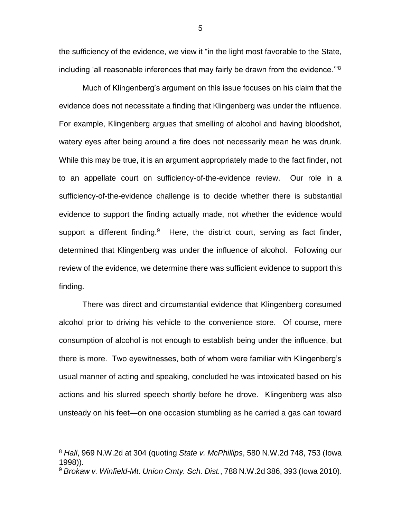the sufficiency of the evidence, we view it "in the light most favorable to the State, including 'all reasonable inferences that may fairly be drawn from the evidence.'"<sup>8</sup>

Much of Klingenberg's argument on this issue focuses on his claim that the evidence does not necessitate a finding that Klingenberg was under the influence. For example, Klingenberg argues that smelling of alcohol and having bloodshot, watery eyes after being around a fire does not necessarily mean he was drunk. While this may be true, it is an argument appropriately made to the fact finder, not to an appellate court on sufficiency-of-the-evidence review. Our role in a sufficiency-of-the-evidence challenge is to decide whether there is substantial evidence to support the finding actually made, not whether the evidence would support a different finding. $9$  Here, the district court, serving as fact finder, determined that Klingenberg was under the influence of alcohol. Following our review of the evidence, we determine there was sufficient evidence to support this finding.

There was direct and circumstantial evidence that Klingenberg consumed alcohol prior to driving his vehicle to the convenience store. Of course, mere consumption of alcohol is not enough to establish being under the influence, but there is more. Two eyewitnesses, both of whom were familiar with Klingenberg's usual manner of acting and speaking, concluded he was intoxicated based on his actions and his slurred speech shortly before he drove. Klingenberg was also unsteady on his feet—on one occasion stumbling as he carried a gas can toward

 $\overline{a}$ 

5

<sup>8</sup> *Hall*, 969 N.W.2d at 304 (quoting *State v. McPhillips*, 580 N.W.2d 748, 753 (Iowa 1998)).

<sup>9</sup> *Brokaw v. Winfield-Mt. Union Cmty. Sch. Dist.*, 788 N.W.2d 386, 393 (Iowa 2010).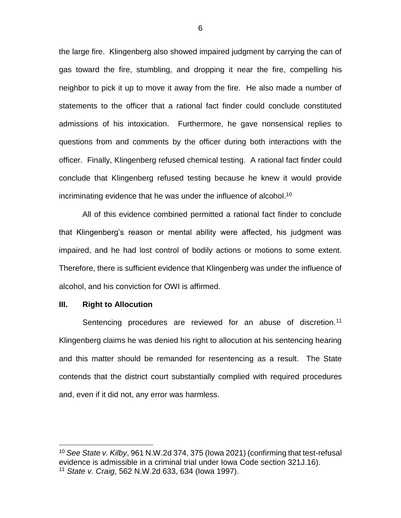the large fire. Klingenberg also showed impaired judgment by carrying the can of gas toward the fire, stumbling, and dropping it near the fire, compelling his neighbor to pick it up to move it away from the fire. He also made a number of statements to the officer that a rational fact finder could conclude constituted admissions of his intoxication. Furthermore, he gave nonsensical replies to questions from and comments by the officer during both interactions with the officer. Finally, Klingenberg refused chemical testing. A rational fact finder could conclude that Klingenberg refused testing because he knew it would provide incriminating evidence that he was under the influence of alcohol.<sup>10</sup>

All of this evidence combined permitted a rational fact finder to conclude that Klingenberg's reason or mental ability were affected, his judgment was impaired, and he had lost control of bodily actions or motions to some extent. Therefore, there is sufficient evidence that Klingenberg was under the influence of alcohol, and his conviction for OWI is affirmed.

#### **III. Right to Allocution**

 $\overline{a}$ 

Sentencing procedures are reviewed for an abuse of discretion.<sup>11</sup> Klingenberg claims he was denied his right to allocution at his sentencing hearing and this matter should be remanded for resentencing as a result. The State contends that the district court substantially complied with required procedures and, even if it did not, any error was harmless.

<sup>10</sup> *See State v. Kilby*, 961 N.W.2d 374, 375 (Iowa 2021) (confirming that test-refusal evidence is admissible in a criminal trial under Iowa Code section 321J.16). <sup>11</sup> *State v. Craig*, 562 N.W.2d 633, 634 (Iowa 1997).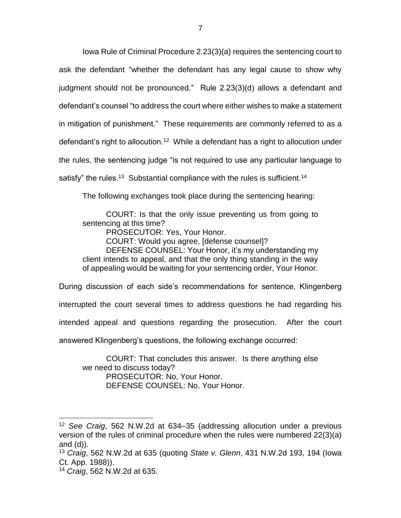Iowa Rule of Criminal Procedure 2.23(3)(a) requires the sentencing court to ask the defendant "whether the defendant has any legal cause to show why judgment should not be pronounced." Rule 2.23(3)(d) allows a defendant and defendant's counsel "to address the court where either wishes to make a statement in mitigation of punishment." These requirements are commonly referred to as a defendant's right to allocution.<sup>12</sup> While a defendant has a right to allocution under the rules, the sentencing judge "is not required to use any particular language to satisfy" the rules.<sup>13</sup> Substantial compliance with the rules is sufficient.<sup>14</sup>

The following exchanges took place during the sentencing hearing:

COURT: Is that the only issue preventing us from going to sentencing at this time?

PROSECUTOR: Yes, Your Honor.

COURT: Would you agree, [defense counsel]?

DEFENSE COUNSEL: Your Honor, it's my understanding my client intends to appeal, and that the only thing standing in the way of appealing would be waiting for your sentencing order, Your Honor.

During discussion of each side's recommendations for sentence, Klingenberg

interrupted the court several times to address questions he had regarding his

intended appeal and questions regarding the prosecution. After the court

answered Klingenberg's questions, the following exchange occurred:

COURT: That concludes this answer. Is there anything else we need to discuss today? PROSECUTOR: No, Your Honor. DEFENSE COUNSEL: No, Your Honor.

<sup>12</sup> *See Craig*, 562 N.W.2d at 634–35 (addressing allocution under a previous version of the rules of criminal procedure when the rules were numbered 22(3)(a) and  $(d)$ ).

<sup>13</sup> *Craig*, 562 N.W.2d at 635 (quoting *State v. Glenn*, 431 N.W.2d 193, 194 (Iowa Ct. App. 1988)).

<sup>14</sup> *Craig*, 562 N.W.2d at 635.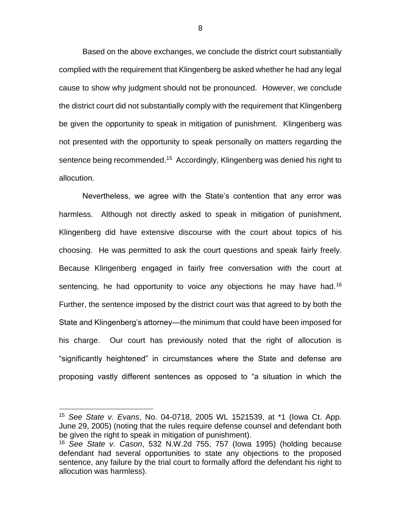Based on the above exchanges, we conclude the district court substantially complied with the requirement that Klingenberg be asked whether he had any legal cause to show why judgment should not be pronounced. However, we conclude the district court did not substantially comply with the requirement that Klingenberg be given the opportunity to speak in mitigation of punishment. Klingenberg was not presented with the opportunity to speak personally on matters regarding the sentence being recommended.<sup>15</sup> Accordingly, Klingenberg was denied his right to allocution.

Nevertheless, we agree with the State's contention that any error was harmless. Although not directly asked to speak in mitigation of punishment, Klingenberg did have extensive discourse with the court about topics of his choosing. He was permitted to ask the court questions and speak fairly freely. Because Klingenberg engaged in fairly free conversation with the court at sentencing, he had opportunity to voice any objections he may have had.<sup>16</sup> Further, the sentence imposed by the district court was that agreed to by both the State and Klingenberg's attorney—the minimum that could have been imposed for his charge. Our court has previously noted that the right of allocution is "significantly heightened" in circumstances where the State and defense are proposing vastly different sentences as opposed to "a situation in which the

<sup>15</sup> *See State v. Evans*, No. 04-0718, 2005 WL 1521539, at \*1 (Iowa Ct. App. June 29, 2005) (noting that the rules require defense counsel and defendant both be given the right to speak in mitigation of punishment).

<sup>16</sup> *See State v. Cason*, 532 N.W.2d 755, 757 (Iowa 1995) (holding because defendant had several opportunities to state any objections to the proposed sentence, any failure by the trial court to formally afford the defendant his right to allocution was harmless).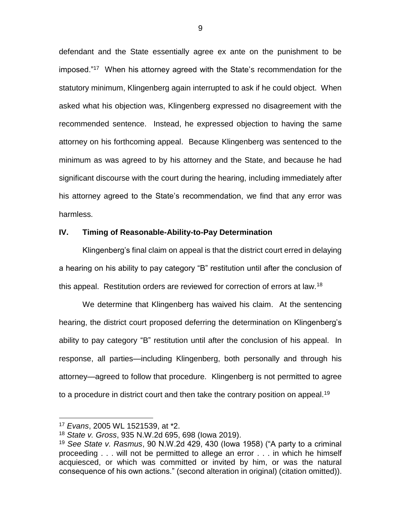defendant and the State essentially agree ex ante on the punishment to be imposed."<sup>17</sup> When his attorney agreed with the State's recommendation for the statutory minimum, Klingenberg again interrupted to ask if he could object. When asked what his objection was, Klingenberg expressed no disagreement with the recommended sentence. Instead, he expressed objection to having the same attorney on his forthcoming appeal. Because Klingenberg was sentenced to the minimum as was agreed to by his attorney and the State, and because he had significant discourse with the court during the hearing, including immediately after his attorney agreed to the State's recommendation, we find that any error was harmless.

# **IV. Timing of Reasonable-Ability-to-Pay Determination**

Klingenberg's final claim on appeal is that the district court erred in delaying a hearing on his ability to pay category "B" restitution until after the conclusion of this appeal. Restitution orders are reviewed for correction of errors at law.<sup>18</sup>

We determine that Klingenberg has waived his claim. At the sentencing hearing, the district court proposed deferring the determination on Klingenberg's ability to pay category "B" restitution until after the conclusion of his appeal. In response, all parties—including Klingenberg, both personally and through his attorney—agreed to follow that procedure. Klingenberg is not permitted to agree to a procedure in district court and then take the contrary position on appeal.<sup>19</sup>

<sup>17</sup> *Evans*, 2005 WL 1521539, at \*2.

<sup>18</sup> *State v. Gross*, 935 N.W.2d 695, 698 (Iowa 2019).

<sup>19</sup> *See State v. Rasmus*, 90 N.W.2d 429, 430 (Iowa 1958) ("A party to a criminal proceeding . . . will not be permitted to allege an error . . . in which he himself acquiesced, or which was committed or invited by him, or was the natural consequence of his own actions." (second alteration in original) (citation omitted)).